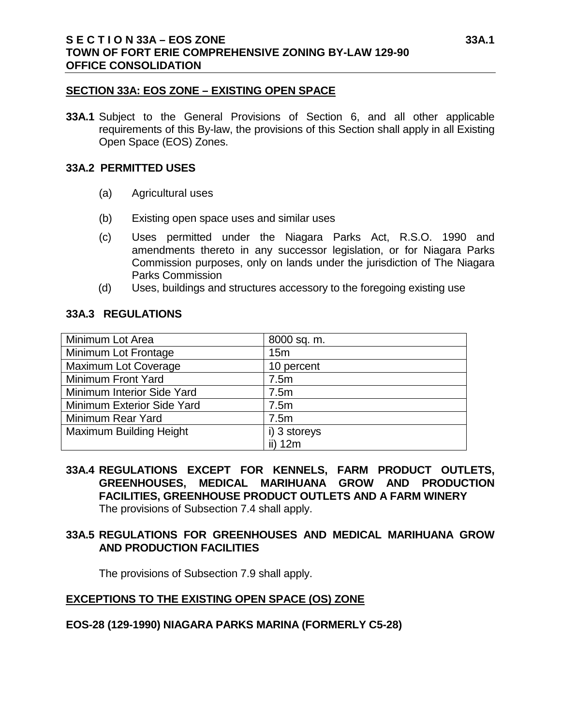#### **SECTION 33A: EOS ZONE – EXISTING OPEN SPACE**

**33A.1** Subject to the General Provisions of Section 6, and all other applicable requirements of this By-law, the provisions of this Section shall apply in all Existing Open Space (EOS) Zones.

#### **33A.2 PERMITTED USES**

- (a) Agricultural uses
- (b) Existing open space uses and similar uses
- (c) Uses permitted under the Niagara Parks Act, R.S.O. 1990 and amendments thereto in any successor legislation, or for Niagara Parks Commission purposes, only on lands under the jurisdiction of The Niagara Parks Commission
- (d) Uses, buildings and structures accessory to the foregoing existing use

## **33A.3 REGULATIONS**

| Minimum Lot Area               | 8000 sq. m.     |
|--------------------------------|-----------------|
| Minimum Lot Frontage           | 15 <sub>m</sub> |
| <b>Maximum Lot Coverage</b>    | 10 percent      |
| Minimum Front Yard             | 7.5m            |
| Minimum Interior Side Yard     | 7.5m            |
| Minimum Exterior Side Yard     | 7.5m            |
| Minimum Rear Yard              | 7.5m            |
| <b>Maximum Building Height</b> | i) 3 storeys    |
|                                | ii) 12m         |

**33A.4 REGULATIONS EXCEPT FOR KENNELS, FARM PRODUCT OUTLETS, GREENHOUSES, MEDICAL MARIHUANA GROW AND PRODUCTION FACILITIES, GREENHOUSE PRODUCT OUTLETS AND A FARM WINERY** The provisions of Subsection 7.4 shall apply.

## **33A.5 REGULATIONS FOR GREENHOUSES AND MEDICAL MARIHUANA GROW AND PRODUCTION FACILITIES**

The provisions of Subsection 7.9 shall apply.

### **EXCEPTIONS TO THE EXISTING OPEN SPACE (OS) ZONE**

### **EOS-28 (129-1990) NIAGARA PARKS MARINA (FORMERLY C5-28)**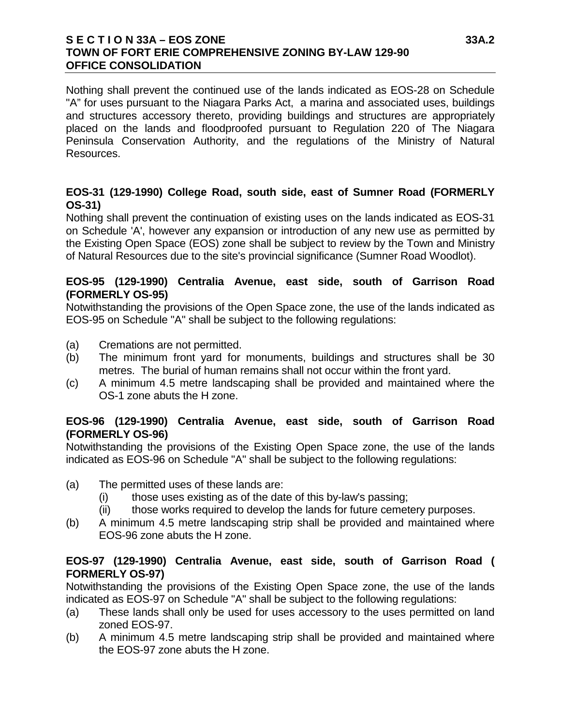### **S E C T I O N 33A – EOS ZONE 33A.2 TOWN OF FORT ERIE COMPREHENSIVE ZONING BY-LAW 129-90 OFFICE CONSOLIDATION**

Nothing shall prevent the continued use of the lands indicated as EOS-28 on Schedule "A" for uses pursuant to the Niagara Parks Act, a marina and associated uses, buildings and structures accessory thereto, providing buildings and structures are appropriately placed on the lands and floodproofed pursuant to Regulation 220 of The Niagara Peninsula Conservation Authority, and the regulations of the Ministry of Natural Resources.

## **EOS-31 (129-1990) College Road, south side, east of Sumner Road (FORMERLY OS-31)**

Nothing shall prevent the continuation of existing uses on the lands indicated as EOS-31 on Schedule 'A', however any expansion or introduction of any new use as permitted by the Existing Open Space (EOS) zone shall be subject to review by the Town and Ministry of Natural Resources due to the site's provincial significance (Sumner Road Woodlot).

### **EOS-95 (129-1990) Centralia Avenue, east side, south of Garrison Road (FORMERLY OS-95)**

Notwithstanding the provisions of the Open Space zone, the use of the lands indicated as EOS-95 on Schedule "A" shall be subject to the following regulations:

- (a) Cremations are not permitted.
- (b) The minimum front yard for monuments, buildings and structures shall be 30 metres. The burial of human remains shall not occur within the front yard.
- (c) A minimum 4.5 metre landscaping shall be provided and maintained where the OS-1 zone abuts the H zone.

### **EOS-96 (129-1990) Centralia Avenue, east side, south of Garrison Road (FORMERLY OS-96)**

Notwithstanding the provisions of the Existing Open Space zone, the use of the lands indicated as EOS-96 on Schedule "A" shall be subject to the following regulations:

- (a) The permitted uses of these lands are:
	- (i) those uses existing as of the date of this by-law's passing;
	- (ii) those works required to develop the lands for future cemetery purposes.
- (b) A minimum 4.5 metre landscaping strip shall be provided and maintained where EOS-96 zone abuts the H zone.

## **EOS-97 (129-1990) Centralia Avenue, east side, south of Garrison Road ( FORMERLY OS-97)**

Notwithstanding the provisions of the Existing Open Space zone, the use of the lands indicated as EOS-97 on Schedule "A" shall be subject to the following regulations:

- (a) These lands shall only be used for uses accessory to the uses permitted on land zoned EOS-97.
- (b) A minimum 4.5 metre landscaping strip shall be provided and maintained where the EOS-97 zone abuts the H zone.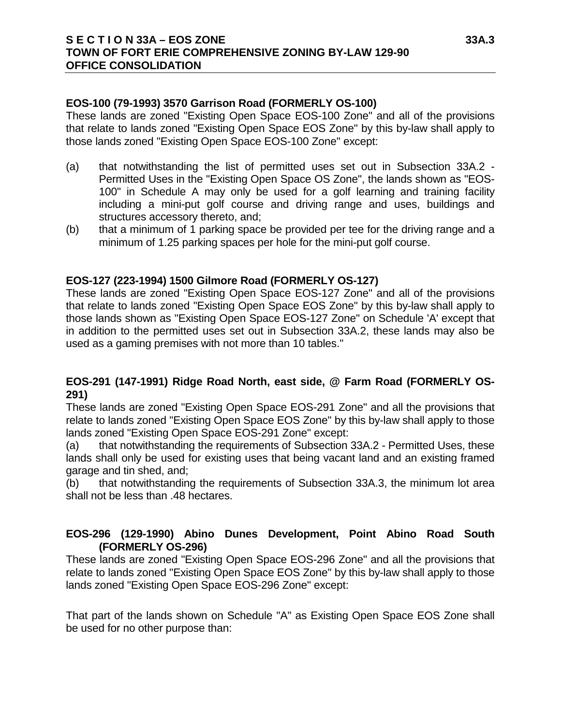## **EOS-100 (79-1993) 3570 Garrison Road (FORMERLY OS-100)**

These lands are zoned "Existing Open Space EOS-100 Zone" and all of the provisions that relate to lands zoned "Existing Open Space EOS Zone" by this by-law shall apply to those lands zoned "Existing Open Space EOS-100 Zone" except:

- (a) that notwithstanding the list of permitted uses set out in Subsection 33A.2 Permitted Uses in the "Existing Open Space OS Zone", the lands shown as "EOS-100" in Schedule A may only be used for a golf learning and training facility including a mini-put golf course and driving range and uses, buildings and structures accessory thereto, and;
- (b) that a minimum of 1 parking space be provided per tee for the driving range and a minimum of 1.25 parking spaces per hole for the mini-put golf course.

## **EOS-127 (223-1994) 1500 Gilmore Road (FORMERLY OS-127)**

These lands are zoned "Existing Open Space EOS-127 Zone" and all of the provisions that relate to lands zoned "Existing Open Space EOS Zone" by this by-law shall apply to those lands shown as "Existing Open Space EOS-127 Zone" on Schedule 'A' except that in addition to the permitted uses set out in Subsection 33A.2, these lands may also be used as a gaming premises with not more than 10 tables."

## **EOS-291 (147-1991) Ridge Road North, east side, @ Farm Road (FORMERLY OS-291)**

These lands are zoned "Existing Open Space EOS-291 Zone" and all the provisions that relate to lands zoned "Existing Open Space EOS Zone" by this by-law shall apply to those lands zoned "Existing Open Space EOS-291 Zone" except:

(a) that notwithstanding the requirements of Subsection 33A.2 - Permitted Uses, these lands shall only be used for existing uses that being vacant land and an existing framed garage and tin shed, and;

(b) that notwithstanding the requirements of Subsection 33A.3, the minimum lot area shall not be less than .48 hectares.

# **EOS-296 (129-1990) Abino Dunes Development, Point Abino Road South (FORMERLY OS-296)**

These lands are zoned "Existing Open Space EOS-296 Zone" and all the provisions that relate to lands zoned "Existing Open Space EOS Zone" by this by-law shall apply to those lands zoned "Existing Open Space EOS-296 Zone" except:

That part of the lands shown on Schedule "A" as Existing Open Space EOS Zone shall be used for no other purpose than: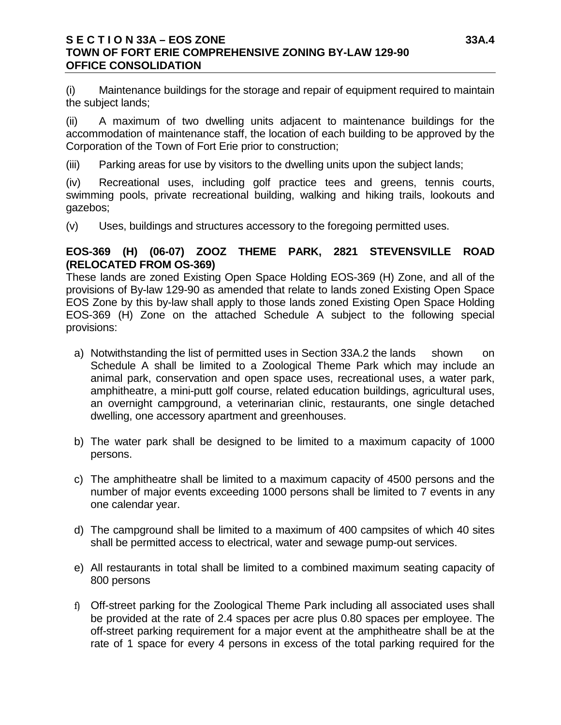### **S E C T I O N 33A – EOS ZONE 33A.4 TOWN OF FORT ERIE COMPREHENSIVE ZONING BY-LAW 129-90 OFFICE CONSOLIDATION**

(i) Maintenance buildings for the storage and repair of equipment required to maintain the subject lands;

(ii) A maximum of two dwelling units adjacent to maintenance buildings for the accommodation of maintenance staff, the location of each building to be approved by the Corporation of the Town of Fort Erie prior to construction;

(iii) Parking areas for use by visitors to the dwelling units upon the subject lands;

(iv) Recreational uses, including golf practice tees and greens, tennis courts, swimming pools, private recreational building, walking and hiking trails, lookouts and gazebos;

(v) Uses, buildings and structures accessory to the foregoing permitted uses.

#### **EOS-369 (H) (06-07) ZOOZ THEME PARK, 2821 STEVENSVILLE ROAD (RELOCATED FROM OS-369)**

These lands are zoned Existing Open Space Holding EOS-369 (H) Zone, and all of the provisions of By-law 129-90 as amended that relate to lands zoned Existing Open Space EOS Zone by this by-law shall apply to those lands zoned Existing Open Space Holding EOS-369 (H) Zone on the attached Schedule A subject to the following special provisions:

- a) Notwithstanding the list of permitted uses in Section 33A.2 the lands shown on Schedule A shall be limited to a Zoological Theme Park which may include an animal park, conservation and open space uses, recreational uses, a water park, amphitheatre, a mini-putt golf course, related education buildings, agricultural uses, an overnight campground, a veterinarian clinic, restaurants, one single detached dwelling, one accessory apartment and greenhouses.
- b) The water park shall be designed to be limited to a maximum capacity of 1000 persons.
- c) The amphitheatre shall be limited to a maximum capacity of 4500 persons and the number of major events exceeding 1000 persons shall be limited to 7 events in any one calendar year.
- d) The campground shall be limited to a maximum of 400 campsites of which 40 sites shall be permitted access to electrical, water and sewage pump-out services.
- e) All restaurants in total shall be limited to a combined maximum seating capacity of 800 persons
- f) Off-street parking for the Zoological Theme Park including all associated uses shall be provided at the rate of 2.4 spaces per acre plus 0.80 spaces per employee. The off-street parking requirement for a major event at the amphitheatre shall be at the rate of 1 space for every 4 persons in excess of the total parking required for the